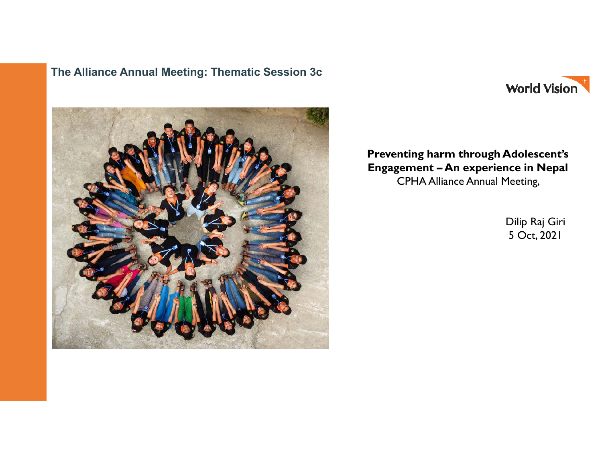#### **The Alliance Annual Meeting: Thematic Session 3c**





#### **Preventing harm through Adolescent's Engagement – An experience in Nepal**  CPHA Alliance Annual Meeting,

Dilip Raj Giri 5 Oct, 2021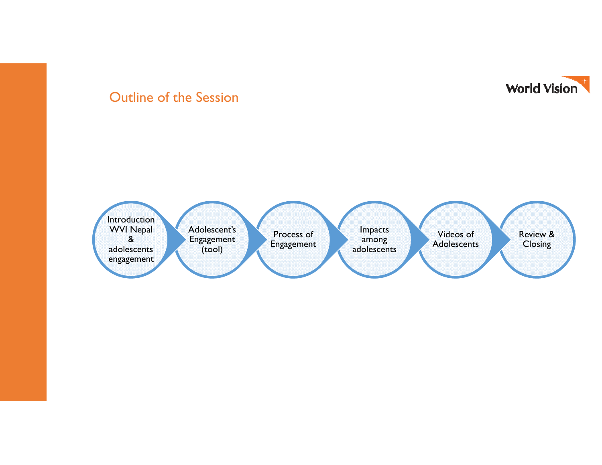

### Outline of the Session

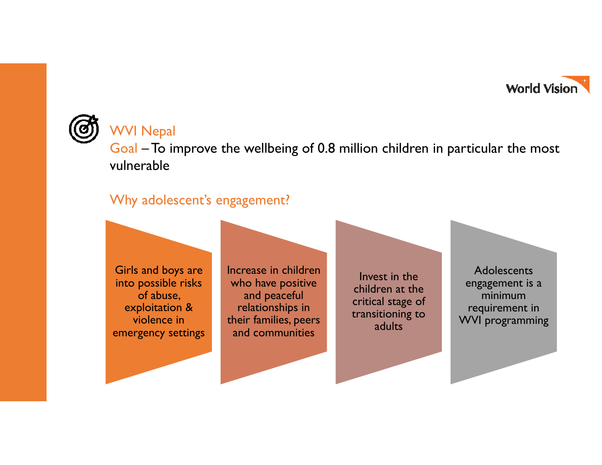

# WVI Nepal

Goal – To improve the wellbeing of 0.8 million children in particular the most vulnerable

## Why adolescent's engagement?

Girls and boys are into possible risks of abuse, exploitation & violence in emergency settings Increase in children who have positive and peaceful relationships in their families, peers and communities

Invest in the children at the critical stage of transitioning to adults

**Adolescents** engagement is a minimum requirement in WVI programming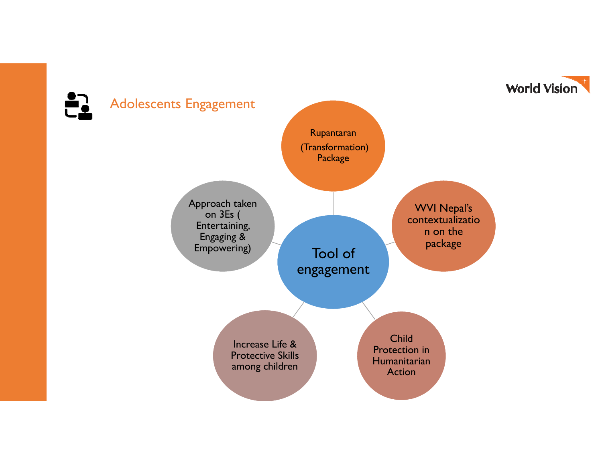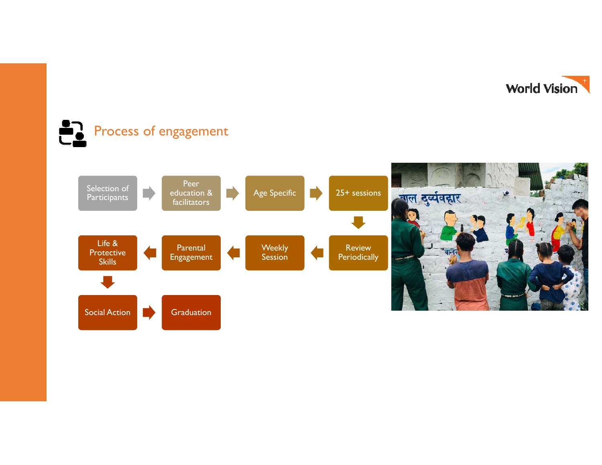

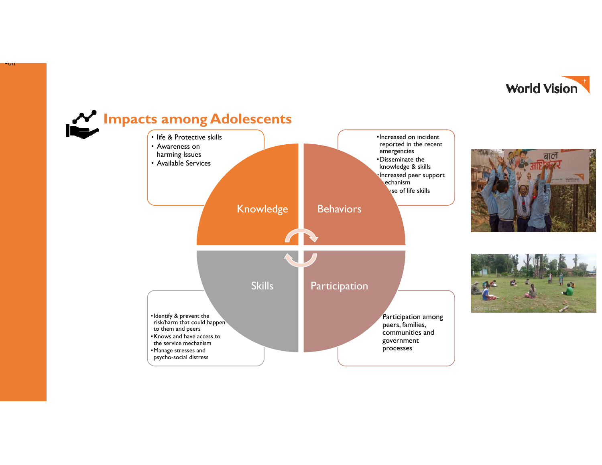



•on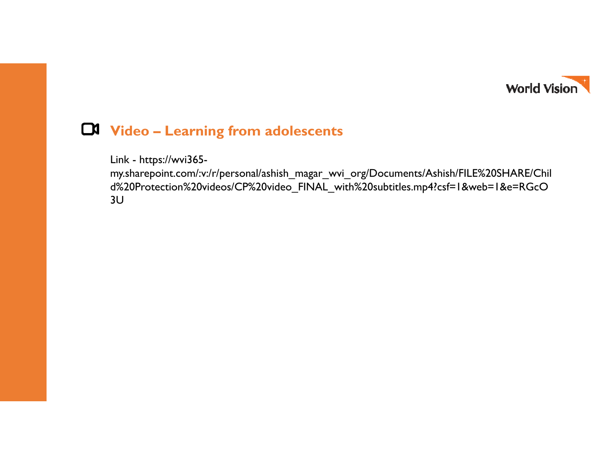

## **Video – Learning from adolescents**

Link - https://wvi365-

my.sharepoint.com/:v:/r/personal/ashish\_magar\_wvi\_org/Documents/Ashish/FILE%20SHARE/Chil d%20Protection%20videos/CP%20video\_FINAL\_with%20subtitles.mp4?csf=1&web=1&e=RGcO 3U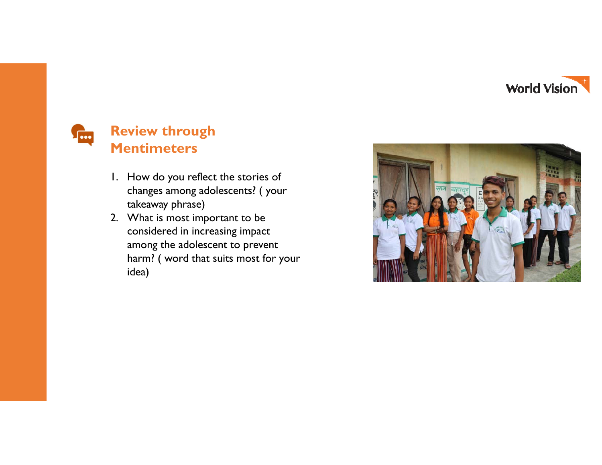



## **Review through Mentimeters**

- 1. How do you reflect the stories of changes among adolescents? ( your takeaway phrase)
- 2. What is most important to be considered in increasing impact among the adolescent to prevent harm? ( word that suits most for your idea)